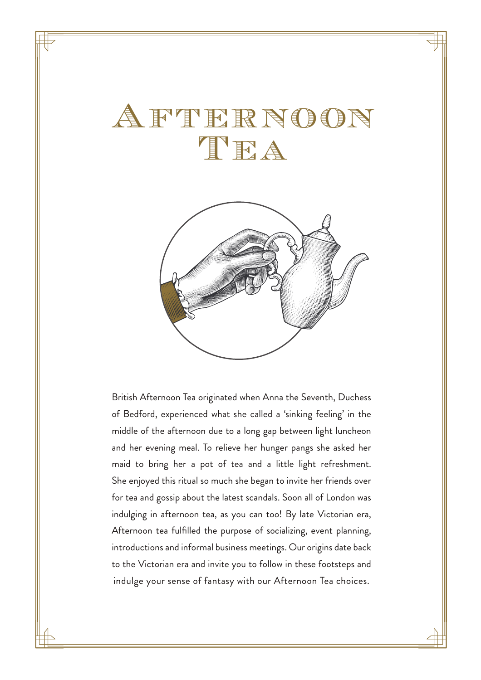# Afternoon TEA



British Afternoon Tea originated when Anna the Seventh, Duchess of Bedford, experienced what she called a 'sinking feeling' in the middle of the afternoon due to a long gap between light luncheon and her evening meal. To relieve her hunger pangs she asked her maid to bring her a pot of tea and a little light refreshment. She enjoyed this ritual so much she began to invite her friends over for tea and gossip about the latest scandals. Soon all of London was indulging in afternoon tea, as you can too! By late Victorian era, Afternoon tea fulfilled the purpose of socializing, event planning, introductions and informal business meetings. Our origins date back to the Victorian era and invite you to follow in these footsteps and indulge your sense of fantasy with our Afternoon Tea choices.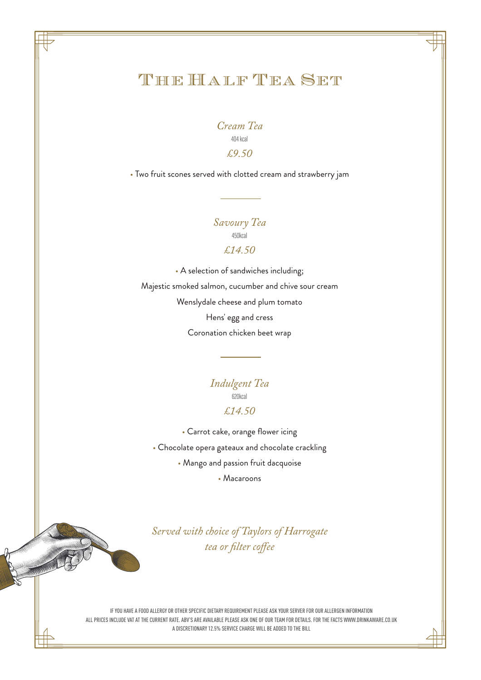# The Half Tea Set

*Cream Tea* 404 kcal *£9.50* 

• Two fruit scones served with clotted cream and strawberry jam

*Savoury Tea* 450kcal

#### *£14.50*

• A selection of sandwiches including; Majestic smoked salmon, cucumber and chive sour cream Wenslydale cheese and plum tomato Hens' egg and cress Coronation chicken beet wrap

> *Indulgent Tea* 620kcal *£14.50*

• Carrot cake, orange flower icing

• Chocolate opera gateaux and chocolate crackling

• Mango and passion fruit dacquoise

• Macaroons

*Served with choice of Taylors of Harrogate* tea or filter coffee

IF YOU HAVE A FOOD ALLERGY OR OTHER SPECIFIC DIETARY REQUIREMENT PLEASE ASK YOUR SERVER FOR OUR ALLERGEN INFORMATION ALL PRICES INCLUDE VAT AT THE CURRENT RATE. ABV'S ARE AVAILABLE PLEASE ASK ONE OF OUR TEAM FOR DETAILS. FOR THE FACTS WWW.DRINKAWARE.CO.UK A DISCRETIONARY 12.5% SERVICE CHARGE WILL BE ADDED TO THE BILL